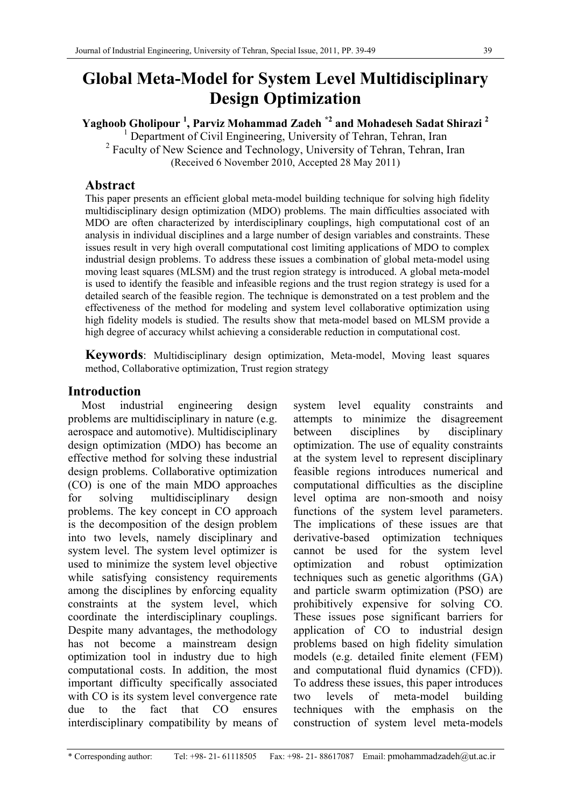# **Global Meta-Model for System Level Multidisciplinary Design Optimization**

**Yaghoob Gholipour <sup>1</sup> , Parviz Mohammad Zadeh \*2 and Mohadeseh Sadat Shirazi 2**

<sup>1</sup> Department of Civil Engineering, University of Tehran, Tehran, Iran <sup>2</sup> Faculty of New Science and Technology, University of Tehran, Tehran, Iran (Received 6 November 2010, Accepted 28 May 2011)

#### **Abstract**

This paper presents an efficient global meta-model building technique for solving high fidelity multidisciplinary design optimization (MDO) problems. The main difficulties associated with MDO are often characterized by interdisciplinary couplings, high computational cost of an analysis in individual disciplines and a large number of design variables and constraints. These issues result in very high overall computational cost limiting applications of MDO to complex industrial design problems. To address these issues a combination of global meta-model using moving least squares (MLSM) and the trust region strategy is introduced. A global meta-model is used to identify the feasible and infeasible regions and the trust region strategy is used for a detailed search of the feasible region. The technique is demonstrated on a test problem and the effectiveness of the method for modeling and system level collaborative optimization using high fidelity models is studied. The results show that meta-model based on MLSM provide a high degree of accuracy whilst achieving a considerable reduction in computational cost.

**Keywords**: Multidisciplinary design optimization, Meta-model, Moving least squares method, Collaborative optimization, Trust region strategy

#### **Introduction**

Most industrial engineering design problems are multidisciplinary in nature (e.g. aerospace and automotive). Multidisciplinary design optimization (MDO) has become an effective method for solving these industrial design problems. Collaborative optimization (CO) is one of the main MDO approaches for solving multidisciplinary design problems. The key concept in CO approach is the decomposition of the design problem into two levels, namely disciplinary and system level. The system level optimizer is used to minimize the system level objective while satisfying consistency requirements among the disciplines by enforcing equality constraints at the system level, which coordinate the interdisciplinary couplings. Despite many advantages, the methodology has not become a mainstream design optimization tool in industry due to high computational costs. In addition, the most important difficulty specifically associated with CO is its system level convergence rate due to the fact that CO ensures interdisciplinary compatibility by means of system level equality constraints and attempts to minimize the disagreement between disciplines by disciplinary optimization. The use of equality constraints at the system level to represent disciplinary feasible regions introduces numerical and computational difficulties as the discipline level optima are non-smooth and noisy functions of the system level parameters. The implications of these issues are that derivative-based optimization techniques cannot be used for the system level optimization and robust optimization techniques such as genetic algorithms (GA) and particle swarm optimization (PSO) are prohibitively expensive for solving CO. These issues pose significant barriers for application of CO to industrial design problems based on high fidelity simulation models (e.g. detailed finite element (FEM) and computational fluid dynamics (CFD)). To address these issues, this paper introduces two levels of meta-model building techniques with the emphasis on the construction of system level meta-models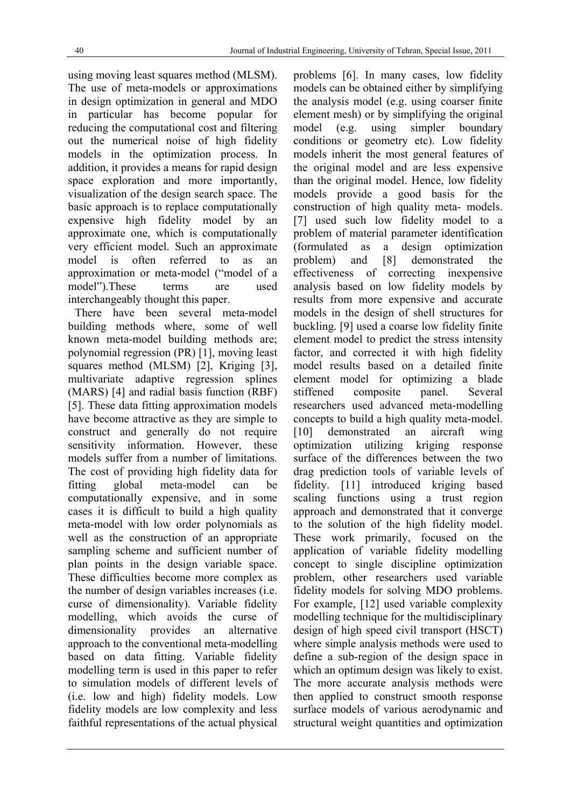using moving least squares method (MLSM). The use of meta-models or approximations in design optimization in general and MDO in particular has become popular for reducing the computational cost and filtering out the numerical noise of high fidelity models in the optimization process. In addition, it provides a means for rapid design space exploration and more importantly, visualization of the design search space. The basic approach is to replace computationally expensive high fidelity model by an approximate one, which is computationally very efficient model. Such an approximate model is often referred to as an approximation or meta-model ("model of a model").These terms are used interchangeably thought this paper.

There have been several meta-model building methods where, some of well known meta-model building methods are; polynomial regression (PR) [1], moving least squares method (MLSM) [2], Kriging [3], multivariate adaptive regression splines (MARS) [4] and radial basis function (RBF) [5]. These data fitting approximation models have become attractive as they are simple to construct and generally do not require sensitivity information. However, these models suffer from a number of limitations. The cost of providing high fidelity data for fitting global meta-model can be computationally expensive, and in some cases it is difficult to build a high quality meta-model with low order polynomials as well as the construction of an appropriate sampling scheme and sufficient number of plan points in the design variable space. These difficulties become more complex as the number of design variables increases (i.e. curse of dimensionality). Variable fidelity modelling, which avoids the curse of dimensionality provides an alternative approach to the conventional meta-modelling based on data fitting. Variable fidelity modelling term is used in this paper to refer to simulation models of different levels of (i.e. low and high) fidelity models. Low fidelity models are low complexity and less faithful representations of the actual physical problems [6]. In many cases, low fidelity models can be obtained either by simplifying the analysis model (e.g. using coarser finite element mesh) or by simplifying the original model (e.g. using simpler boundary conditions or geometry etc). Low fidelity models inherit the most general features of the original model and are less expensive than the original model. Hence, low fidelity models provide a good basis for the construction of high quality meta- models. [7] used such low fidelity model to a problem of material parameter identification (formulated as a design optimization problem) and [8] demonstrated the effectiveness of correcting inexpensive analysis based on low fidelity models by results from more expensive and accurate models in the design of shell structures for buckling. [9] used a coarse low fidelity finite element model to predict the stress intensity factor, and corrected it with high fidelity model results based on a detailed finite element model for optimizing a blade stiffened composite panel. Several researchers used advanced meta-modelling concepts to build a high quality meta-model. [10] demonstrated an aircraft wing optimization utilizing kriging response surface of the differences between the two drag prediction tools of variable levels of fidelity. [11] introduced kriging based scaling functions using a trust region approach and demonstrated that it converge to the solution of the high fidelity model. These work primarily, focused on the application of variable fidelity modelling concept to single discipline optimization problem, other researchers used variable fidelity models for solving MDO problems. For example, [12] used variable complexity modelling technique for the multidisciplinary design of high speed civil transport (HSCT) where simple analysis methods were used to define a sub-region of the design space in which an optimum design was likely to exist. The more accurate analysis methods were then applied to construct smooth response surface models of various aerodynamic and structural weight quantities and optimization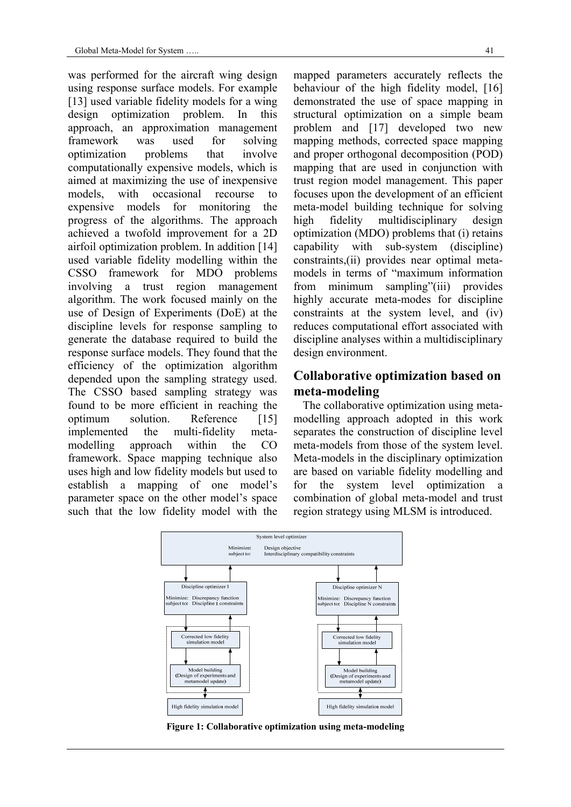was performed for the aircraft wing design using response surface models. For example [13] used variable fidelity models for a wing design optimization problem. In this approach, an approximation management framework was used for solving optimization problems that involve computationally expensive models, which is aimed at maximizing the use of inexpensive models, with occasional recourse to expensive models for monitoring the progress of the algorithms. The approach achieved a twofold improvement for a 2D airfoil optimization problem. In addition [14] used variable fidelity modelling within the CSSO framework for MDO problems involving a trust region management algorithm. The work focused mainly on the use of Design of Experiments (DoE) at the discipline levels for response sampling to generate the database required to build the response surface models. They found that the efficiency of the optimization algorithm depended upon the sampling strategy used. The CSSO based sampling strategy was found to be more efficient in reaching the optimum solution. Reference [15] implemented the multi-fidelity metamodelling approach within the CO framework. Space mapping technique also uses high and low fidelity models but used to establish a mapping of one model's parameter space on the other model's space such that the low fidelity model with the

mapped parameters accurately reflects the behaviour of the high fidelity model, [16] demonstrated the use of space mapping in structural optimization on a simple beam problem and [17] developed two new mapping methods, corrected space mapping and proper orthogonal decomposition (POD) mapping that are used in conjunction with trust region model management. This paper focuses upon the development of an efficient meta-model building technique for solving high fidelity multidisciplinary design optimization (MDO) problems that (i) retains capability with sub-system (discipline) constraints,(ii) provides near optimal metamodels in terms of "maximum information from minimum sampling"(iii) provides highly accurate meta-modes for discipline constraints at the system level, and (iv) reduces computational effort associated with discipline analyses within a multidisciplinary design environment.

## **Collaborative optimization based on meta-modeling**

The collaborative optimization using metamodelling approach adopted in this work separates the construction of discipline level meta-models from those of the system level. Meta-models in the disciplinary optimization are based on variable fidelity modelling and for the system level optimization a combination of global meta-model and trust region strategy using MLSM is introduced.



**Figure 1: Collaborative optimization using meta-modeling**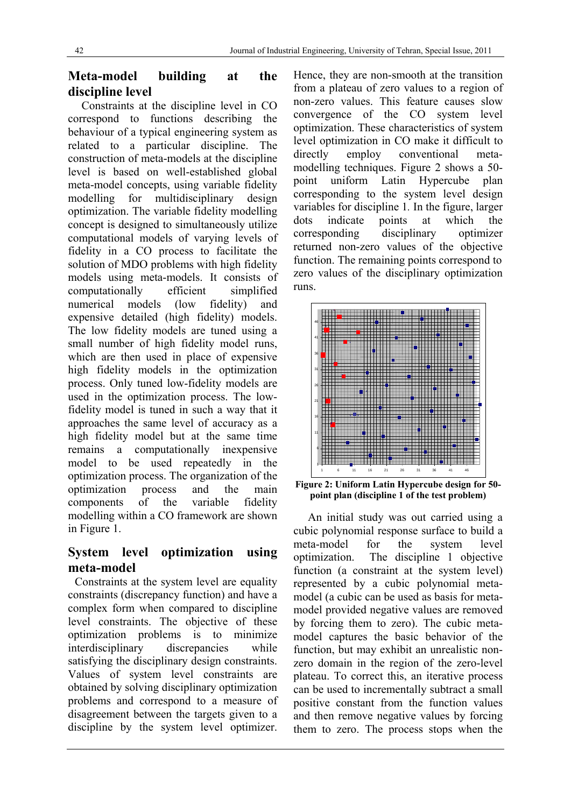## **Meta-model building at the discipline level**

Constraints at the discipline level in CO correspond to functions describing the behaviour of a typical engineering system as related to a particular discipline. The construction of meta-models at the discipline level is based on well-established global meta-model concepts, using variable fidelity modelling for multidisciplinary design optimization. The variable fidelity modelling concept is designed to simultaneously utilize computational models of varying levels of fidelity in a CO process to facilitate the solution of MDO problems with high fidelity models using meta-models. It consists of computationally efficient simplified numerical models (low fidelity) and expensive detailed (high fidelity) models. The low fidelity models are tuned using a small number of high fidelity model runs, which are then used in place of expensive high fidelity models in the optimization process. Only tuned low-fidelity models are used in the optimization process. The lowfidelity model is tuned in such a way that it approaches the same level of accuracy as a high fidelity model but at the same time remains a computationally inexpensive model to be used repeatedly in the optimization process. The organization of the optimization process and the main components of the variable fidelity modelling within a CO framework are shown in Figure 1.

## **System level optimization using meta-model**

Constraints at the system level are equality constraints (discrepancy function) and have a complex form when compared to discipline level constraints. The objective of these optimization problems is to minimize interdisciplinary discrepancies while satisfying the disciplinary design constraints. Values of system level constraints are obtained by solving disciplinary optimization problems and correspond to a measure of disagreement between the targets given to a discipline by the system level optimizer.

Hence, they are non-smooth at the transition from a plateau of zero values to a region of non-zero values. This feature causes slow convergence of the CO system level optimization. These characteristics of system level optimization in CO make it difficult to directly employ conventional metamodelling techniques. Figure 2 shows a 50 point uniform Latin Hypercube plan corresponding to the system level design variables for discipline 1*.* In the figure, larger dots indicate points at which the corresponding disciplinary optimizer returned non-zero values of the objective function. The remaining points correspond to zero values of the disciplinary optimization runs.



**Figure 2: Uniform Latin Hypercube design for 50 point plan (discipline 1 of the test problem)** 

 An initial study was out carried using a cubic polynomial response surface to build a meta-model for the system level optimization. The discipline 1 objective function (a constraint at the system level) represented by a cubic polynomial metamodel (a cubic can be used as basis for metamodel provided negative values are removed by forcing them to zero). The cubic metamodel captures the basic behavior of the function, but may exhibit an unrealistic nonzero domain in the region of the zero-level plateau. To correct this, an iterative process can be used to incrementally subtract a small positive constant from the function values and then remove negative values by forcing them to zero. The process stops when the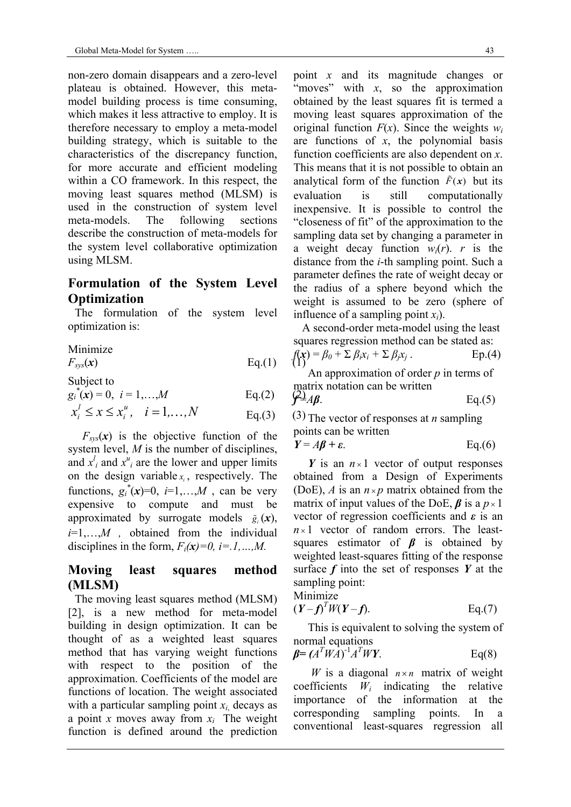non-zero domain disappears and a zero-level plateau is obtained. However, this metamodel building process is time consuming, which makes it less attractive to employ. It is therefore necessary to employ a meta-model building strategy, which is suitable to the characteristics of the discrepancy function, for more accurate and efficient modeling within a CO framework. In this respect, the moving least squares method (MLSM) is used in the construction of system level meta-models. The following sections describe the construction of meta-models for the system level collaborative optimization using MLSM.

#### **Formulation of the System Level Optimization**

The formulation of the system level optimization is:

Minimize

$$
F_{sys}(\mathbf{x}) \qquad \qquad Eq.(1) \qquad (1)
$$

Subject to

$$
g_i^*(x) = 0, i = 1,...,M
$$
 Eq.(2)

$$
x_i^l \le x \le x_i^u
$$
,  $i = 1,...,N$  Eq.(3) (3)

 $F_{sys}(x)$  is the objective function of the system level, *M* is the number of disciplines, and  $x^l_i$  and  $x^u_i$  are the lower and upper limits on the design variable  $x_i$ , respectively. The functions,  $g_i^*(x)=0$ ,  $i=1,...,M$ , can be very expensive to compute and must be approximated by surrogate models  $\tilde{g}_i(x)$ , *i*=1,…,*M ,* obtained from the individual disciplines in the form,  $F_i(\mathbf{x})=0$ ,  $i=1,...,M$ .

#### **Moving least squares method (MLSM)**

The moving least squares method (MLSM) [2], is a new method for meta-model building in design optimization. It can be thought of as a weighted least squares method that has varying weight functions with respect to the position of the approximation. Coefficients of the model are functions of location. The weight associated with a particular sampling point  $x_i$  decays as a point *x* moves away from  $x_i$  The weight function is defined around the prediction point *x* and its magnitude changes or "moves" with  $x$ , so the approximation obtained by the least squares fit is termed a moving least squares approximation of the original function  $F(x)$ . Since the weights  $w_i$ are functions of  $x$ , the polynomial basis function coefficients are also dependent on *x*. This means that it is not possible to obtain an analytical form of the function  $\tilde{F}(x)$  but its evaluation is still computationally inexpensive. It is possible to control the "closeness of fit" of the approximation to the sampling data set by changing a parameter in a weight decay function  $w_i(r)$ . *r* is the distance from the *i*-th sampling point. Such a parameter defines the rate of weight decay or the radius of a sphere beyond which the weight is assumed to be zero (sphere of influence of a sampling point *xi*).

 A second-order meta-model using the least squares regression method can be stated as:

$$
f(\mathbf{x}) = \beta_0 + \sum \beta_i x_i + \sum \beta_j x_j.
$$
 Ep.(4)

 An approximation of order *p* in terms of matrix notation can be written

$$
\mathcal{L} \mathcal{L} A \mathcal{B}.
$$
 Eq.(5)

 $(3)$  The vector of responses at *n* sampling points can be written

$$
Y = A\beta + \varepsilon. \qquad \text{Eq.}(6)
$$

*Y* is an  $n \times 1$  vector of output responses obtained from a Design of Experiments (DoE), *A* is an  $n \times p$  matrix obtained from the matrix of input values of the DoE,  $\beta$  is a  $p \times 1$ vector of regression coefficients and *ε* is an  $n \times 1$  vector of random errors. The leastsquares estimator of *β* is obtained by weighted least-squares fitting of the response surface *f* into the set of responses *Y* at the sampling point:

$$
Minimize
$$

$$
(Y - f)^T W (Y - f). \qquad \qquad Eq.(7)
$$

 This is equivalent to solving the system of normal equations

$$
\beta = (A^T W A)^{-1} A^T W Y. \qquad \text{Eq(8)}
$$

*W* is a diagonal  $n \times n$  matrix of weight coefficients *Wi* indicating the relative importance of the information at the corresponding sampling points. In a conventional least-squares regression all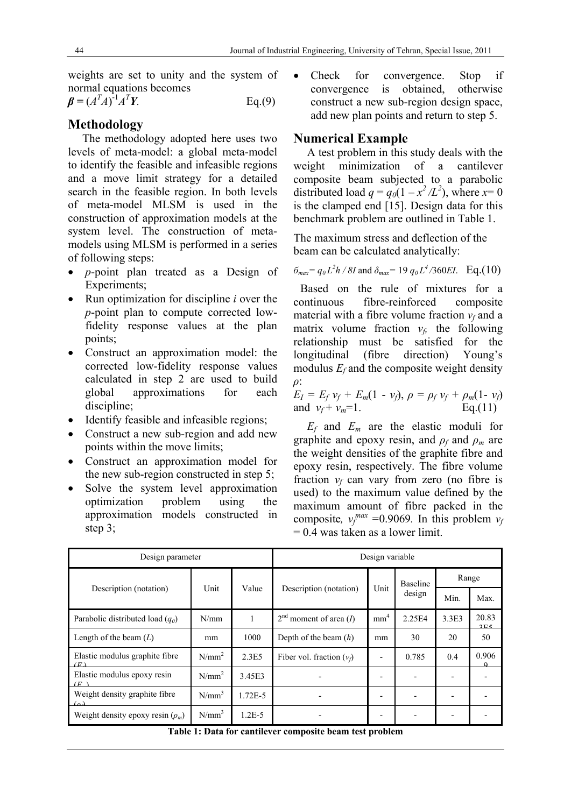weights are set to unity and the system of normal equations becomes

 $\beta = (A^T A)^{-1} A^T$  $Eq.(9)$ 

## **Methodology**

 The methodology adopted here uses two levels of meta-model: a global meta-model to identify the feasible and infeasible regions and a move limit strategy for a detailed search in the feasible region. In both levels of meta-model MLSM is used in the construction of approximation models at the system level. The construction of metamodels using MLSM is performed in a series of following steps:

- *p*-point plan treated as a Design of Experiments;
- Run optimization for discipline *i* over the *p*-point plan to compute corrected lowfidelity response values at the plan points;
- Construct an approximation model: the corrected low-fidelity response values calculated in step 2 are used to build global approximations for each discipline;
- Identify feasible and infeasible regions;
- Construct a new sub-region and add new points within the move limits;
- Construct an approximation model for the new sub-region constructed in step 5;
- Solve the system level approximation optimization problem using the approximation models constructed in step 3;

 Check for convergence. Stop if convergence is obtained, otherwise construct a new sub-region design space, add new plan points and return to step 5.

### **Numerical Example**

A test problem in this study deals with the weight minimization of a cantilever composite beam subjected to a parabolic distributed load  $q = q_0(1 - x^2/L^2)$ , where  $x=0$ is the clamped end [15]. Design data for this benchmark problem are outlined in Table 1.

The maximum stress and deflection of the beam can be calculated analytically:

$$
\delta_{max} = q_0 L^2 h / 8I
$$
 and  $\delta_{max} = 19 q_0 L^4 / 360 EI$ . Eq.(10)

Based on the rule of mixtures for a continuous fibre-reinforced composite material with a fibre volume fraction  $v_f$  and a matrix volume fraction  $v_f$  the following relationship must be satisfied for the longitudinal (fibre direction) Young's modulus  $E_f$  and the composite weight density *ρ*:

$$
E_I = E_f v_f + E_m(1 - v_f), \ \rho = \rho_f v_f + \rho_m(1 - v_f)
$$
  
and  $v_f + v_m = 1$ . Eq.(11)

*Ef* and *Em* are the elastic moduli for graphite and epoxy resin, and  $\rho_f$  and  $\rho_m$  are the weight densities of the graphite fibre and epoxy resin, respectively. The fibre volume fraction  $v_f$  can vary from zero (no fibre is used) to the maximum value defined by the maximum amount of fibre packed in the composite,  $v_f^{max}$  =0.9069. In this problem  $v_f$  $= 0.4$  was taken as a lower limit.

| Design parameter                              | Design variable |            |                                   |                 |                           |       |              |
|-----------------------------------------------|-----------------|------------|-----------------------------------|-----------------|---------------------------|-------|--------------|
|                                               |                 | Value      |                                   | Unit            | <b>Baseline</b><br>design | Range |              |
| Description (notation)                        | Unit            |            | Description (notation)            |                 |                           | Min.  | Max.         |
| Parabolic distributed load $(q_0)$            | N/mm            |            | $2nd$ moment of area ( <i>I</i> ) | mm <sup>4</sup> | 2.25E4                    | 3.3E3 | 20.83<br>2E5 |
| Length of the beam $(L)$                      | mm              | 1000       | Depth of the beam $(h)$           | mm              | 30                        | 20    | 50           |
| Elastic modulus graphite fibre<br>(F)         | $N/mm^2$        | 2.3E5      | Fiber vol. fraction $(v_t)$       |                 | 0.785                     | 0.4   | 0.906        |
| Elastic modulus epoxy resin<br>$\overline{F}$ | $N/mm^2$        | 3.45E3     |                                   |                 |                           |       |              |
| Weight density graphite fibre<br>(a)          | $N/mm^3$        | 1.72E-5    |                                   |                 |                           |       |              |
| Weight density epoxy resin $(\rho_m)$         | $N/mm^3$        | $1.2E - 5$ |                                   |                 |                           |       |              |

**Table 1: Data for cantilever composite beam test problem**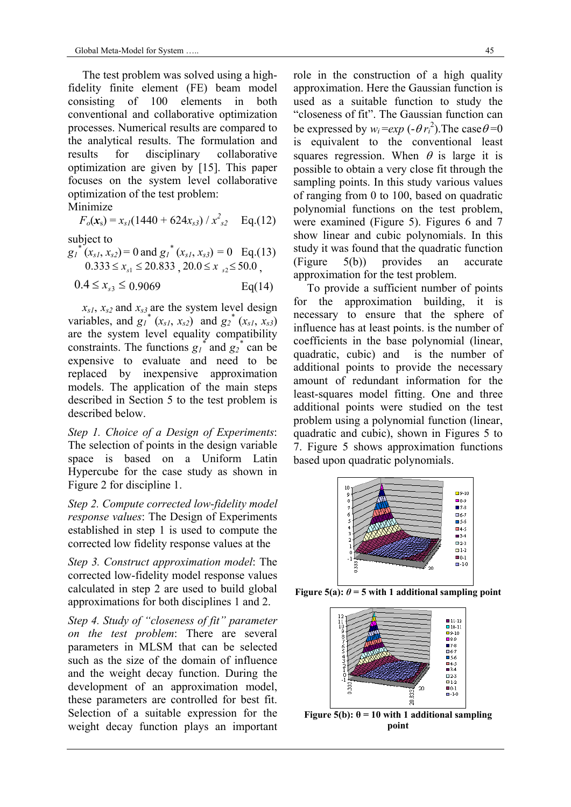The test problem was solved using a highfidelity finite element (FE) beam model consisting of 100 elements in both conventional and collaborative optimization processes. Numerical results are compared to the analytical results. The formulation and results for disciplinary collaborative optimization are given by [15]. This paper focuses on the system level collaborative optimization of the test problem:

Minimize

$$
F_o(x_s) = x_{sI}(1440 + 624x_{s3}) / x_{s2}^2
$$
 Eq.(12)

subject to

 $g_1^{*}(x_{s1}, x_{s2}) = 0$  and  $g_1^{*}(x_{s1}, x_{s3}) = 0$  Eq.(13)  $0.333 \le x_{s_1} \le 20.833$ ,  $20.0 \le x_{s_2} \le 50.0$ ,

 $0.4 \le x_{s3} \le 0.9069$  Eq(14)

 $x_{s1}$ ,  $x_{s2}$  and  $x_{s3}$  are the system level design variables, and  $g_1^*$  ( $x_{s1}, x_{s2}$ ) and  $g_2^*$  ( $x_{s1}, x_{s3}$ ) are the system level equality compatibility constraints. The functions  $g_1^*$  and  $g_2^*$  can be expensive to evaluate and need to be replaced by inexpensive approximation models. The application of the main steps described in Section 5 to the test problem is described below.

*Step 1. Choice of a Design of Experiments*: The selection of points in the design variable space is based on a Uniform Latin Hypercube for the case study as shown in Figure 2 for discipline 1.

*Step 2. Compute corrected low-fidelity model response values*: The Design of Experiments established in step 1 is used to compute the corrected low fidelity response values at the

*Step 3. Construct approximation model*: The corrected low-fidelity model response values calculated in step 2 are used to build global approximations for both disciplines 1 and 2.

*Step 4. Study of "closeness of fit" parameter on the test problem*: There are several parameters in MLSM that can be selected such as the size of the domain of influence and the weight decay function. During the development of an approximation model, these parameters are controlled for best fit. Selection of a suitable expression for the weight decay function plays an important role in the construction of a high quality approximation. Here the Gaussian function is used as a suitable function to study the "closeness of fit". The Gaussian function can be expressed by  $w_i = exp(-\theta r_i^2)$ . The case  $\theta = 0$ is equivalent to the conventional least squares regression. When  $\theta$  is large it is possible to obtain a very close fit through the sampling points. In this study various values of ranging from 0 to 100, based on quadratic polynomial functions on the test problem, were examined (Figure 5). Figures 6 and 7 show linear and cubic polynomials. In this study it was found that the quadratic function (Figure 5(b)) provides an accurate approximation for the test problem.

To provide a sufficient number of points for the approximation building, it is necessary to ensure that the sphere of influence has at least points. is the number of coefficients in the base polynomial (linear, quadratic, cubic) and is the number of additional points to provide the necessary amount of redundant information for the least-squares model fitting. One and three additional points were studied on the test problem using a polynomial function (linear, quadratic and cubic), shown in Figures 5 to 7. Figure 5 shows approximation functions based upon quadratic polynomials.



**Figure 5(a):**  $\theta$  = 5 with 1 additional sampling point



Figure 5(b):  $\theta = 10$  with 1 additional sampling **point**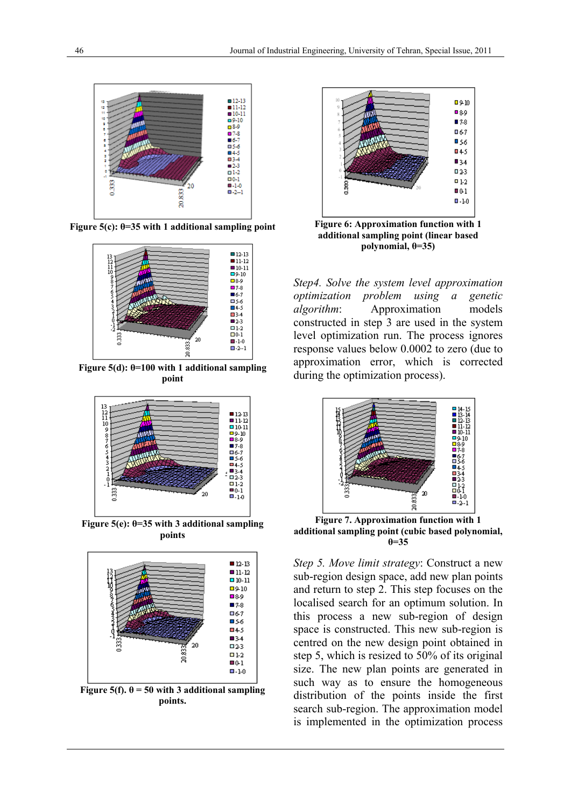

**Figure 5(c): θ=35 with 1 additional sampling point**



**Figure 5(d): θ=100 with 1 additional sampling point**



**Figure 5(e): θ=35 with 3 additional sampling points** 



**Figure 5(f).**  $\theta$  = 50 with 3 additional sampling **points.** 



**Figure 6: Approximation function with 1 additional sampling point (linear based polynomial, θ=35)**

*Step4. Solve the system level approximation optimization problem using a genetic algorithm*: Approximation models constructed in step 3 are used in the system level optimization run. The process ignores response values below 0.0002 to zero (due to approximation error, which is corrected during the optimization process).



**Figure 7. Approximation function with 1 additional sampling point (cubic based polynomial,**   $\theta = 35$ 

*Step 5. Move limit strategy*: Construct a new sub-region design space, add new plan points and return to step 2. This step focuses on the localised search for an optimum solution. In this process a new sub-region of design space is constructed. This new sub-region is centred on the new design point obtained in step 5, which is resized to 50% of its original size. The new plan points are generated in such way as to ensure the homogeneous distribution of the points inside the first search sub-region. The approximation model is implemented in the optimization process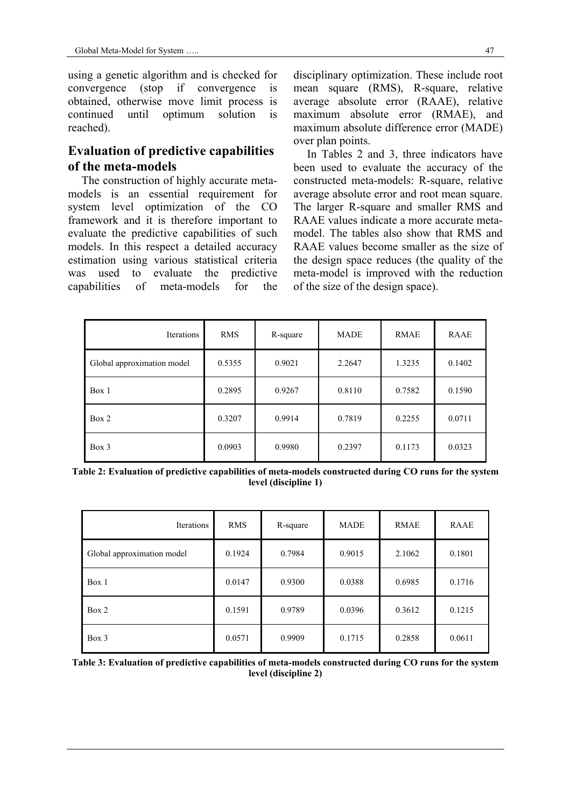using a genetic algorithm and is checked for convergence (stop if convergence is obtained, otherwise move limit process is continued until optimum solution is reached).

## **Evaluation of predictive capabilities of the meta-models**

The construction of highly accurate metamodels is an essential requirement for system level optimization of the CO framework and it is therefore important to evaluate the predictive capabilities of such models. In this respect a detailed accuracy estimation using various statistical criteria was used to evaluate the predictive capabilities of meta-models for the disciplinary optimization. These include root mean square (RMS), R-square, relative average absolute error (RAAE), relative maximum absolute error (RMAE), and maximum absolute difference error (MADE) over plan points.

In Tables 2 and 3, three indicators have been used to evaluate the accuracy of the constructed meta-models: R-square, relative average absolute error and root mean square. The larger R-square and smaller RMS and RAAE values indicate a more accurate metamodel. The tables also show that RMS and RAAE values become smaller as the size of the design space reduces (the quality of the meta-model is improved with the reduction of the size of the design space).

| Iterations                 | <b>RMS</b> | R-square | <b>MADE</b> | <b>RMAE</b> | <b>RAAE</b> |
|----------------------------|------------|----------|-------------|-------------|-------------|
| Global approximation model | 0.5355     | 0.9021   | 2.2647      | 1.3235      | 0.1402      |
| Box 1                      | 0.2895     | 0.9267   | 0.8110      | 0.7582      | 0.1590      |
| Box 2                      | 0.3207     | 0.9914   | 0.7819      | 0.2255      | 0.0711      |
| $Box$ 3                    | 0.0903     | 0.9980   | 0.2397      | 0.1173      | 0.0323      |

**Table 2: Evaluation of predictive capabilities of meta-models constructed during CO runs for the system level (discipline 1)** 

| Iterations                 | <b>RMS</b> | R-square | <b>MADE</b> | <b>RMAE</b> | RAAE   |
|----------------------------|------------|----------|-------------|-------------|--------|
| Global approximation model | 0.1924     | 0.7984   | 0.9015      | 2.1062      | 0.1801 |
| Box 1                      | 0.0147     | 0.9300   | 0.0388      | 0.6985      | 0.1716 |
| Box 2                      | 0.1591     | 0.9789   | 0.0396      | 0.3612      | 0.1215 |
| Box 3                      | 0.0571     | 0.9909   | 0.1715      | 0.2858      | 0.0611 |

**Table 3: Evaluation of predictive capabilities of meta-models constructed during CO runs for the system level (discipline 2)**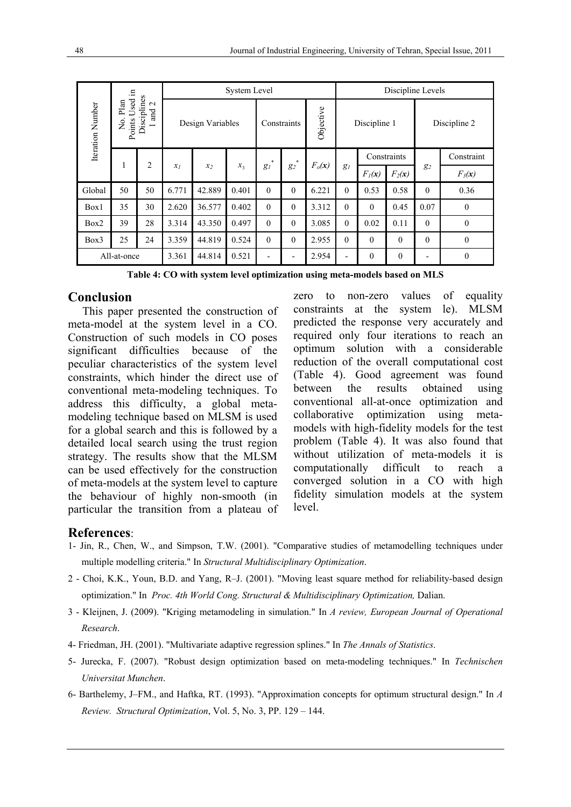|                                                                                              | .드 |                  | <b>System Level</b> |             |       |                          |              |                          |              | Discipline Levels |              |            |                  |  |
|----------------------------------------------------------------------------------------------|----|------------------|---------------------|-------------|-------|--------------------------|--------------|--------------------------|--------------|-------------------|--------------|------------|------------------|--|
| Disciplines<br>Used<br>Plan<br>Iteration Number<br>$\mathbf{\Omega}$<br>and<br>Points<br>Σò. |    | Design Variables |                     | Constraints |       | Objective                | Discipline 1 |                          | Discipline 2 |                   |              |            |                  |  |
|                                                                                              |    | 2                |                     |             | *     | *                        |              |                          | Constraints  |                   |              | Constraint |                  |  |
|                                                                                              | 1  |                  | $x_I$               | $x_2$       | $x_3$ | $g_l$                    | $g_2$        | $F_o(x)$                 | $g_l$        | $F_I(\mathbf{x})$ | $F_2(x)$     | $g_2$      | $F_3(x)$         |  |
| Global                                                                                       | 50 | 50               | 6.771               | 42.889      | 0.401 | $\theta$                 | $\theta$     | 6.221                    | $\theta$     | 0.53              | 0.58         | $\Omega$   | 0.36             |  |
| Box1                                                                                         | 35 | 30               | 2.620               | 36.577      | 0.402 | $\theta$                 | $\theta$     | 3.312                    | $\theta$     | $\theta$          | 0.45         | 0.07       | $\boldsymbol{0}$ |  |
| Box2                                                                                         | 39 | 28               | 3.314               | 43.350      | 0.497 | $\theta$                 | $\theta$     | 3.085                    | $\theta$     | 0.02              | 0.11         | $\theta$   | $\mathbf{0}$     |  |
| Box3                                                                                         | 25 | 24               | 3.359               | 44.819      | 0.524 | $\theta$                 | $\theta$     | 2.955                    | $\theta$     | $\theta$          | $\mathbf{0}$ | $\theta$   | $\mathbf{0}$     |  |
| All-at-once                                                                                  |    | 3.361            | 44.814              | 0.521       | -     | $\overline{\phantom{0}}$ | 2.954        | $\overline{\phantom{0}}$ | $\theta$     | $\mathbf{0}$      |              | $\theta$   |                  |  |

**Table 4: CO with system level optimization using meta-models based on MLS**

#### **Conclusion**

 This paper presented the construction of meta-model at the system level in a CO. Construction of such models in CO poses significant difficulties because of the peculiar characteristics of the system level constraints, which hinder the direct use of conventional meta-modeling techniques. To address this difficulty, a global metamodeling technique based on MLSM is used for a global search and this is followed by a detailed local search using the trust region strategy. The results show that the MLSM can be used effectively for the construction of meta-models at the system level to capture the behaviour of highly non-smooth (in particular the transition from a plateau of zero to non-zero values of equality constraints at the system le). MLSM predicted the response very accurately and required only four iterations to reach an optimum solution with a considerable reduction of the overall computational cost (Table 4). Good agreement was found between the results obtained using conventional all-at-once optimization and collaborative optimization using metamodels with high-fidelity models for the test problem (Table 4). It was also found that without utilization of meta-models it is computationally difficult to reach a converged solution in a CO with high fidelity simulation models at the system level.

#### **References**:

- 1- Jin, R., Chen, W., and Simpson, T.W. (2001). "Comparative studies of metamodelling techniques under multiple modelling criteria." In *Structural Multidisciplinary Optimization*.
- 2 Choi, K.K., Youn, B.D. and Yang, R–J. (2001). "Moving least square method for reliability-based design optimization." In *Proc. 4th World Cong. Structural & Multidisciplinary Optimization,* Dalian.
- 3 Kleijnen, J. (2009). "Kriging metamodeling in simulation." In *A review, European Journal of Operational Research*.
- 4- Friedman, JH. (2001). "Multivariate adaptive regression splines." In *The Annals of Statistics*.
- 5- Jurecka, F. (2007). "Robust design optimization based on meta-modeling techniques." In *Technischen Universitat Munchen*.
- 6- Barthelemy, J–FM., and Haftka, RT. (1993). "Approximation concepts for optimum structural design." In *A Review. Structural Optimization*, Vol. 5, No. 3, PP. 129 – 144.